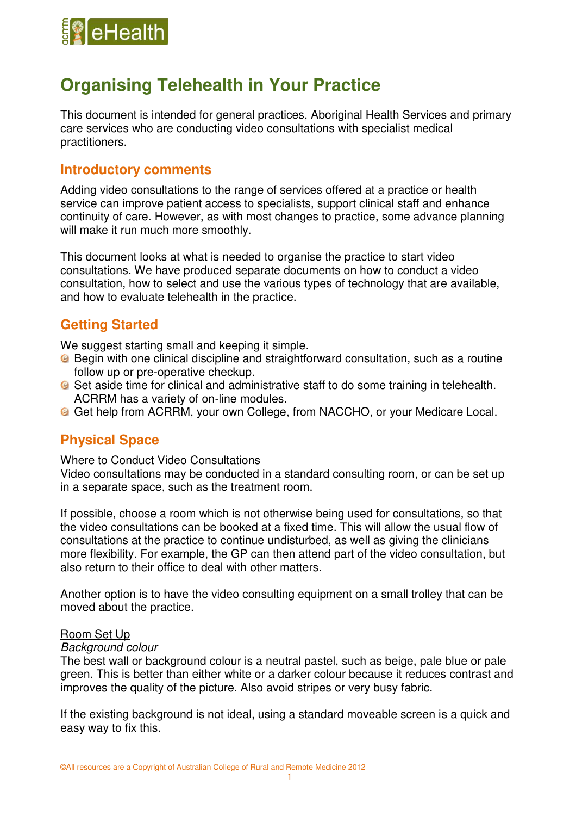

# **Organising Telehealth in Your Practice**

This document is intended for general practices, Aboriginal Health Services and primary care services who are conducting video consultations with specialist medical practitioners.

# **Introductory comments**

Adding video consultations to the range of services offered at a practice or health service can improve patient access to specialists, support clinical staff and enhance continuity of care. However, as with most changes to practice, some advance planning will make it run much more smoothly.

This document looks at what is needed to organise the practice to start video consultations. We have produced separate documents on how to conduct a video consultation, how to select and use the various types of technology that are available, and how to evaluate telehealth in the practice.

# **Getting Started**

We suggest starting small and keeping it simple.

- **B** Begin with one clinical discipline and straightforward consultation, such as a routine follow up or pre-operative checkup.
- **G** Set aside time for clinical and administrative staff to do some training in telehealth. ACRRM has a variety of on-line modules.
- Get help from ACRRM, your own College, from NACCHO, or your Medicare Local.

# **Physical Space**

### Where to Conduct Video Consultations

Video consultations may be conducted in a standard consulting room, or can be set up in a separate space, such as the treatment room.

If possible, choose a room which is not otherwise being used for consultations, so that the video consultations can be booked at a fixed time. This will allow the usual flow of consultations at the practice to continue undisturbed, as well as giving the clinicians more flexibility. For example, the GP can then attend part of the video consultation, but also return to their office to deal with other matters.

Another option is to have the video consulting equipment on a small trolley that can be moved about the practice.

### Room Set Up

### *Background colour*

The best wall or background colour is a neutral pastel, such as beige, pale blue or pale green. This is better than either white or a darker colour because it reduces contrast and improves the quality of the picture. Also avoid stripes or very busy fabric.

If the existing background is not ideal, using a standard moveable screen is a quick and easy way to fix this.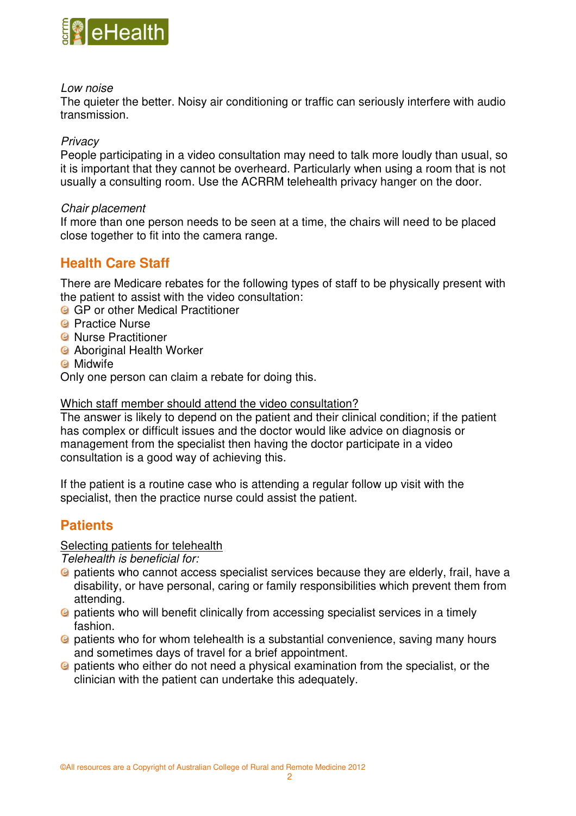

## *Low noise*

The quieter the better. Noisy air conditioning or traffic can seriously interfere with audio transmission.

# *Privacy*

People participating in a video consultation may need to talk more loudly than usual, so it is important that they cannot be overheard. Particularly when using a room that is not usually a consulting room. Use the ACRRM telehealth privacy hanger on the door.

## *Chair placement*

If more than one person needs to be seen at a time, the chairs will need to be placed close together to fit into the camera range.

# **Health Care Staff**

There are Medicare rebates for the following types of staff to be physically present with the patient to assist with the video consultation:

- **G** GP or other Medical Practitioner
- <sup>©</sup> Practice Nurse
- *G* Nurse Practitioner
- **G** Aboriginal Health Worker
- **C** Midwife

Only one person can claim a rebate for doing this.

## Which staff member should attend the video consultation?

The answer is likely to depend on the patient and their clinical condition; if the patient has complex or difficult issues and the doctor would like advice on diagnosis or management from the specialist then having the doctor participate in a video consultation is a good way of achieving this.

If the patient is a routine case who is attending a regular follow up visit with the specialist, then the practice nurse could assist the patient.

# **Patients**

# Selecting patients for telehealth

*Telehealth is beneficial for:* 

- <sup>2</sup> patients who cannot access specialist services because they are elderly, frail, have a disability, or have personal, caring or family responsibilities which prevent them from attending.
- patients who will benefit clinically from accessing specialist services in a timely fashion.
- patients who for whom telehealth is a substantial convenience, saving many hours and sometimes days of travel for a brief appointment.
- **a** patients who either do not need a physical examination from the specialist, or the clinician with the patient can undertake this adequately.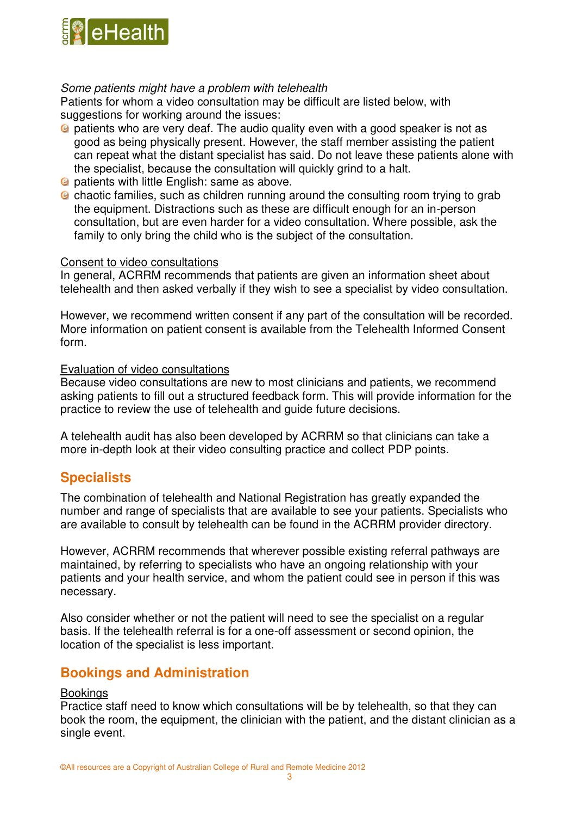

# *Some patients might have a problem with telehealth*

Patients for whom a video consultation may be difficult are listed below, with suggestions for working around the issues:

- patients who are very deaf. The audio quality even with a good speaker is not as good as being physically present. However, the staff member assisting the patient can repeat what the distant specialist has said. Do not leave these patients alone with the specialist, because the consultation will quickly grind to a halt.
- *C* patients with little English: same as above.
- chaotic families, such as children running around the consulting room trying to grab the equipment. Distractions such as these are difficult enough for an in-person consultation, but are even harder for a video consultation. Where possible, ask the family to only bring the child who is the subject of the consultation.

#### Consent to video consultations

In general, ACRRM recommends that patients are given an information sheet about telehealth and then asked verbally if they wish to see a specialist by video consultation.

However, we recommend written consent if any part of the consultation will be recorded. More information on patient consent is available from the Telehealth Informed Consent form.

### Evaluation of video consultations

Because video consultations are new to most clinicians and patients, we recommend asking patients to fill out a structured feedback form. This will provide information for the practice to review the use of telehealth and guide future decisions.

A telehealth audit has also been developed by ACRRM so that clinicians can take a more in-depth look at their video consulting practice and collect PDP points.

# **Specialists**

The combination of telehealth and National Registration has greatly expanded the number and range of specialists that are available to see your patients. Specialists who are available to consult by telehealth can be found in the ACRRM provider directory.

However, ACRRM recommends that wherever possible existing referral pathways are maintained, by referring to specialists who have an ongoing relationship with your patients and your health service, and whom the patient could see in person if this was necessary.

Also consider whether or not the patient will need to see the specialist on a regular basis. If the telehealth referral is for a one-off assessment or second opinion, the location of the specialist is less important.

# **Bookings and Administration**

### **Bookings**

Practice staff need to know which consultations will be by telehealth, so that they can book the room, the equipment, the clinician with the patient, and the distant clinician as a single event.